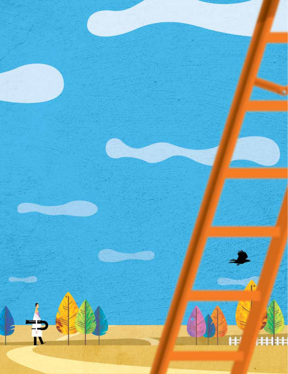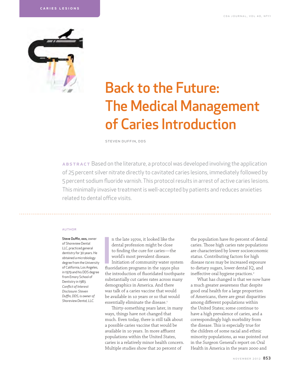

# Back to the Future: The Medical Management of Caries Introduction

steven duffin, dds

ABSTRACT Based on the literature, a protocol was developed involving the application of 25 percent silver nitrate directly to cavitated caries lesions, immediately followed by 5 percent sodium fluoride varnish. This protocol results in arrest of active caries lesions. This minimally invasive treatment is well-accepted by patients and reduces anxieties related to dental office visits.

#### author

Steve Duffin, pps, owner of Shoreview Dental LLC, practiced general dentistry for 30 years. He obtained a microbiology degree from the University of California, Los Angeles, in 1979 and his DDS degree from Emory School of Dentistry in 1983. *Conflict of Interest Disclosure: Steven Duffin, DDS, is owner of Shoreview Dental, LLC.*

n the late 1970s, it looked like the<br>dental profession might be close<br>to finding the cure for caries—the<br>world's most prevalent disease.<br>Initiation of community water system<br>fluoridation programs in the 1950s plus n the late 1970s, it looked like the dental profession might be close to finding the cure for caries—the world's most prevalent disease. Initiation of community water system the introduction of fluoridated toothpaste substantially cut caries rates across many demographics in America. And there was talk of a caries vaccine that would be available in 10 years or so that would essentially eliminate the disease.<sup>1</sup>

Thirty-something years later, in many ways, things have not changed that much. Even today, there is still talk about a possible caries vaccine that would be available in 10 years. In more affluent populations within the United States, caries is a relatively minor health concern. Multiple studies show that 20 percent of

the population have 80 percent of dental caries. Those high caries rate populations are characterized by lower socioeconomic status. Contributing factors for high disease rates may be increased exposure to dietary sugars, lower dental IQ, and ineffective oral hygiene practices.<sup>2</sup>

What has changed is that we now have a much greater awareness that despite good oral health for a large proportion of Americans, there are great disparities among different populations within the United States; some continue to have a high prevalence of caries, and a correspondingly high morbidity from the disease. This is especially true for the children of some racial and ethnic minority populations, as was pointed out in the Surgeon General's report on Oral Health in America in the years 2000 and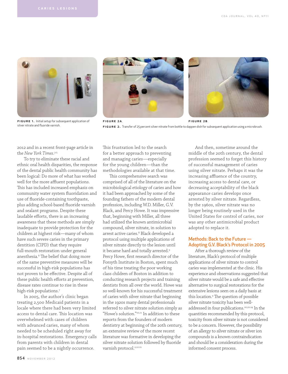

FIGURE 1. Initial setup for subsequent application of



silver nitrate and fluoride varnish. **Figure 2. Transfer of 25 percent silver nitrate from bottle to dappen dish for subsequent application using a microbrush.** figure 2a. figure 2b.

2012 and in a recent front-page article in the *New York Times*. 3-5

To try to eliminate these racial and ethnic oral health disparities, the response of the dental public health community has been logical: Do more of what has worked well for the more affluent populations. This has included increased emphasis on community water system fluoridation and use of fluoride-containing toothpaste, plus adding school-based fluoride varnish and sealant programs. Despite these laudable efforts, there is an increasing awareness that these methods are simply inadequate to provide protection for the children at highest risk—many of whom have such severe caries in the primary dentition (CIPD) that they require full-mouth restoration under general anesthesia.<sup>6</sup> The belief that doing more of the same preventive measures will be successful in high-risk populations has not proven to be effective. Despite all of these public health efforts at prevention, disease rates continue to rise in these high-risk populations.7

In 2005, the author's clinic began treating 2,500 Medicaid patients in a locale where there had been very limited access to dental care. This location was overwhelmed with cases of children with advanced caries, many of whom needed to be scheduled right away for in-hospital restorations. Emergency calls from parents with children in dental pain seemed to be a nightly occurrence.

This frustration led to the search for a better approach to preventing and managing caries—especially for the young children—than the methodologies available at that time.

This comprehensive search was comprised of all of the literature on the microbiological etiology of caries and how it had been approached by some of the founding fathers of the modern dental profession, including W.D. Miller, G.V. Black, and Percy Howe. It was impressive that, beginning with Miller, all three had utilized the known antimicrobial compound, silver nitrate, in solution to arrest active caries.8 Black developed a protocol using multiple applications of silver nitrate directly to the lesion until it became hard and totally arrested.<sup>9</sup> Percy Howe, first research director of the Forsyth Institute in Boston, spent much of his time treating the poor working class children of Boston in addition to conducting research projects and training dentists from all over the world. Howe was so well-known for his successful treatment of caries with silver nitrate that beginning in the 1920s many dental professionals referred to silver nitrate solution simply as "Howe's solution."10,11 In addition to these reports from the founders of modern dentistry at beginning of the 20th century, an extensive review of the more recent literature was formative in developing the silver nitrate solution followed by fluoride varnish protocol.<sup>2,12-21</sup>

And then, sometime around the middle of the 20th century, the dental profession seemed to forget this history of successful management of caries using silver nitrate. Perhaps it was the increasing affluence of the country, increasing access to dental care, or decreasing acceptability of the black appearance caries develops once arrested by silver nitrate. Regardless, by the 1960s, silver nitrate was no longer being routinely used in the United States for control of caries, nor was any other antimicrobial product adopted to replace it.

## Methods: Back to the Future — Adopting G.V. Black's Protocol in 2005

After a thorough review of the literature, Black's protocol of multiple applications of silver nitrate to control caries was implemented at the clinic. His experience and observations suggested that silver nitrate would be a safe and effective alternative to surgical restorations for the extensive lesions seen on a daily basis at this location.9 The question of possible silver nitrate toxicity has been welladdressed in four publications.10,22-24 In the quantities recommended by this protocol, toxicity from silver nitrate is not considered to be a concern. However, the possibility of an allergy to silver nitrate or silver ion compounds is a known contraindication and should be a consideration during the informed consent process.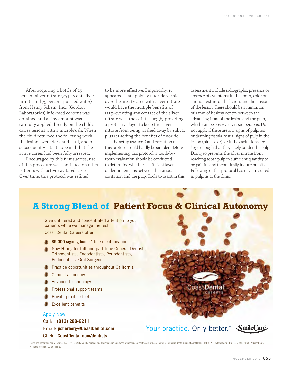After acquiring a bottle of 25 percent silver nitrate (25 percent silver nitrate and 75 percent purified water) from Henry Schein, Inc., (Gordon Laboratories) informed consent was obtained and a tiny amount was carefully applied directly on the child's caries lesions with a microbrush. When the child returned the following week, the lesions were dark and hard, and on subsequent visits it appeared that the active caries had been fully arrested.

Encouraged by this first success, use of this procedure was continued on other patients with active cavitated caries. Over time, this protocol was refined

to be more effective. Empirically, it appeared that applying fluoride varnish over the area treated with silver nitrate would have the multiple benefits of (a) preventing any contact of the silver nitrate with the soft tissue; (b) providing a protective layer to keep the silver nitrate from being washed away by saliva; plus (c) adding the benefits of fluoride.

The setup ( $\epsilon$ IGURE 1) and execution of this protocol could hardly be simpler. Before implementing this protocol, a tooth-bytooth evaluation should be conducted to determine whether a sufficient layer of dentin remains between the carious cavitation and the pulp. Tools to assist in this assessment include radiographs, presence or absence of symptoms in the tooth, color or surface texture of the lesion, and dimensions of the lesion. There should be a minimum of 1 mm of healthy dentin between the advancing front of the lesion and the pulp, which can be observed via radiographs. Do not apply if there are any signs of pulpitus or draining fistula, visual signs of pulp in the lesion (pink color), or if the cavitations are large enough that they likely border the pulp. Doing so prevents the silver nitrate from reaching tooth pulp in sufficient quantity to be painful and theoretically induce pulpitis. Following of this protocol has never resulted in pulpitis at the clinic.

# **A Strong Blend of Patient Focus & Clinical Autonomy**

Give unfiltered and concentrated attention to your patients while we manage the rest. Coast Dental Careers offer:

- **\$5,000 signing bonus**<sup>\*</sup> for select locations
- Now Hiring for full and part-time General Dentists, Orthodontists, Endodontists, Periodontists, Pedodontists, Oral Surgeons
- *C* Practice opportunities throughout California
- Clinical autonomy
- Advanced technology
- Professional support teams
- Private practice feel
- Excellent benefits

#### Apply Now!

#### Call: **(813) 288-6211**

- Email: **psherberg@CoastDental.com**
- Click: **CoastDental.com/dentists**

# Your practice. Only better.<sup>\*\*</sup> SmileCare-

cast **Dental** 



Terms and conditions apply. Expires 12/31/12. EOE/MF/D/V. The dentists and hygienists are employees or independent contractors of Coast Dental of California Dental Group of ADAM DIASTI, D.D.S. P.C., (Adam Diasti, DDS, Lic. All rights reserved. CD-101428-1.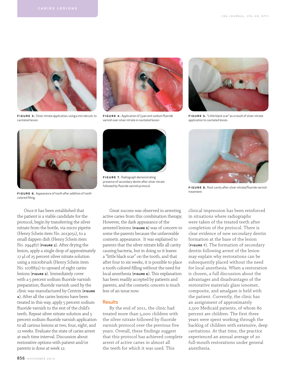

FIGURE 3. Silver nitrate application, using a microbrush, to cavitated lesion.



FIGURE 4. Application of 5 percent sodium fluoride varnish over silver nitrate in cavitated lesion



**FIGURE 7.** Radiograph demonstrating presence of secondary dentin after silver nitrate followed by fluoride varnish protocol.



FIGURE 5. "Little black scar" as a result of silver nitrate application to cavitated lesion.



FIGURE 8. Root cavity after silver nitrate/fluoride varnish troatmont

FIGURE 6. Appearance of tooth after addition of tooth colored filling.

Once it has been established that the patient is a viable candidate for the protocol, begin by transferring the silver nitrate from the bottle, via micro pipette (Henry Schein item No. 2013051), to a small dappen dish (Henry Schein item No. 294487) (**FIGURE 2**). After drying the lesion, apply a single drop of approximately 17 µl of 25 percent silver nitrate solution using a microbrush (Henry Schein item No. 1078831) to upward of eight caries lesions (FIGURE 3). Immediately cover with a 5 percent sodium fluoride varnish preparation; fluoride varnish used by the clinic was manufactured by Centrix (FIGURE 4). After all the caries lesions have been treated in this way, apply 5 percent sodium fluoride varnish to the rest of the child's teeth. Repeat silver nitrate solution and 5 percent sodium fluoride varnish application to all carious lesions at two, four, eight, and 12 weeks. Evaluate the state of caries arrest at each time interval. Discussion about restorative options with patient and/or parents is done at week 12.

Great success was observed in arresting active caries from this combination therapy. However, the dark appearance of the arrested lesions (FIGURE 5) was of concern to some the parents because the unfavorable cosmetic appearance. It was explained to parents that the silver nitrate kills all cavity causing bacteria, but in doing so it leaves a "little black scar" on the tooth, and that after four to six weeks, it is possible to place a tooth-colored filling without the need for local anesthesia (FIGURE 6). This explanation has been readily accepted by patients and parents, and the cosmetic concern is much less of an issue now.

## Results

By the end of 2011, the clinic had treated more than 5,000 children with the silver nitrate followed by fluoride varnish protocol over the previous five years. Overall, these findings suggest that this protocol has achieved complete arrest of active caries in almost all the teeth for which it was used. This

clinical impression has been reinforced in situations where radiographs were taken of the treated teeth after completion of the protocol. There is clear evidence of new secondary dentin formation at the base of the lesion (figure 7). The formation of secondary dentin following arrest of the lesion may explain why restorations can be subsequently placed without the need for local anesthesia. When a restoration is chosen, a full discussion about the advantages and disadvantages of the restorative materials glass ionomer, composite, and amalgam is held with the patient. Currently, the clinic has an assignment of approximately 2,500 Medicaid patients, of whom 80 percent are children. The first three years were spent working through the backlog of children with extensive, deep cavitations. At that time, the practice experienced an annual average of 20 full-mouth restorations under general anesthesia.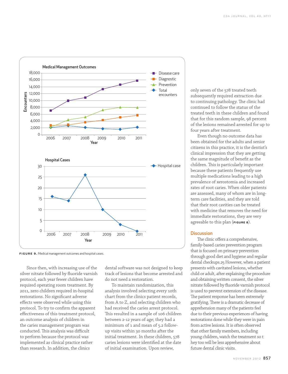

FIGURE 9. Medical management outcomes and hospital cases.

Since then, with increasing use of the silver nitrate followed by fluoride varnish protocol, each year fewer children have required operating room treatment. By 2011, zero children required in-hospital restorations. No significant adverse effects were observed while using this protocol. To try to confirm the apparent effectiveness of this treatment protocol, an outcome analysis of children in the caries management program was conducted. This analysis was difficult to perform because the protocol was implemented as clinical practice rather than research. In addition, the clinics

dental software was not designed to keep track of lesions that become arrested and do not need a restoration.

To maintain randomization, this analysis involved selecting every 10th chart from the clinics patient records, from A to Z, and selecting children who had received the caries arrest protocol. This resulted in a sample of 106 children between 2-12 years of age; they had a minimum of 1 and mean of 5.2 followup visits within 30 months after the initial treatment. In these children, 578 caries lesions were identified at the date of initial examination. Upon review,

only seven of the 578 treated teeth subsequently required extraction due to continuing pathology. The clinic had continued to follow the status of the treated teeth in these children and found that for this random sample, 98 percent of the lesions remained arrested for up to four years after treatment.

Even though no outcome data has been obtained for the adults and senior citizens in this practice, it is the dentist's clinical impression that they are getting the same magnitude of benefit as the children. This is particularly important because these patients frequently use multiple medications leading to a high prevalence of xerostomia and increased rates of root caries. When older patients are assessed, many of whom are in longterm care facilities, and they are told that their root cavities can be treated with medicine that removes the need for immediate restorations, they are very agreeable to this plan  $($ FIGURE 8 $).$ 

### **Discussion**

The clinic offers a comprehensive, family-based caries prevention program that is focused on primary prevention through good diet and hygiene and regular dental checkups.25 However, when a patient presents with cavitated lesions, whether child or adult, after explaining the procedure and obtaining written consent, the silver nitrate followed by fluoride varnish protocol is used to prevent extension of the disease. The patient response has been extremely gratifying. There is a dramatic decrease of apprehension many of the patients feel due to their previous experiences of having restorations done while they were in pain from active lesions. It is often observed that other family members, including young children, watch the treatment so t hey too will be less apprehensive about future dental clinic visits.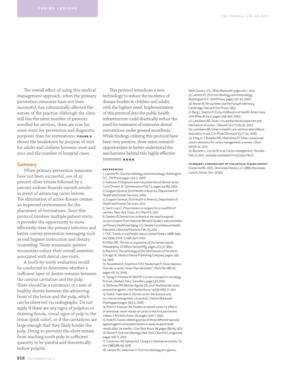The overall effect of using this medical management approach, when the primary prevention measures have not been successful, has substantially affected the nature of the practice. Although the clinic still has the same number of patients enrolled for services, there are now far more visits for prevention and diagnostic purposes than for restorations. FIGURE 9 shows the breakdown by purpose of visit for adults and children between 2006 and 2011 and the number of hospital cases.

#### **Summary**

When primary prevention measures have not been successful, use of 25 percent silver nitrate followed by 5 percent sodium fluoride varnish results in arrest of advancing caries lesions. The elimination of active disease creates an improved environment for the placement of restorations. Since this protocol involves multiple patient visits, it provides the opportunity to more effectively treat the primary infection and better convey prevention messaging such as oral hygiene instruction and dietary counseling. These atraumatic patient encounters reduce their overall anxieties associated with dental care visits.

A tooth-by-tooth evaluation would be conducted to determine whether a sufficient layer of dentin remains between the carious cavitation and the pulp. There should be a minimum of 1 mm of healthy dentin between the advancing front of the lesion and the pulp, which can be observed via radiographs. Do not apply if there are any signs of pulpitus or draining fistula, visual signs of pulp in the lesion (pink color), or if the cavitations are large enough that they likely border the pulp. Doing so prevents the silver nitrate from reaching tooth pulp in sufficient quantity to be painful and theoretically induce pulpitis.

This protocol introduces a new technology to reduce the incidence of disease burden in children and adults with the highest need. Implementation of this protocol into the public health infrastructure could drastically reduce the need for treatment of extensive dental restorations under general anesthesia. While findings utilizing this protocol have been very positive, there exists research opportunities to better understand the mechanisms behind this highly effective treatment.  $\blacksquare$ 

#### references

1. Lamont RJ, *Oral microbiology and immunology*, Washington, D.C., SM Press pages 242-3, 2006. 2. Axelsson P, *Diagnosis and risk prediction of dental caries*, Carol Stream, Ill., Quintessence Pub Co. pages 43-89, 2000. 3. Surgeon General, *Oral Health in America*, Department of Health and Human Services, 2000. 4. Surgeon General, *Oral Health in America*, Department of Health and Human Services, 2012. 5. Saint Louis C, Preschoolers in surgery for a mouthful of cavities. *New York Times*, A-1, March 6, 2012. 6. Sanders B, *Dental crisis in America, the need to expand access*; a report from chairman Bernard Sanders, subcommittee on Primary Health and Aging, U.S. Senate Committee on Health, Education Labor and Pensions, Feb. 29, 2012. 7. CDC, Trends in oral health status: United States, 1988-1994 and 1999-2004. 11:248, April 2007. 8. Miller WD, *The micro-organisms of the human mouth,*  Philadelphia, SS White Dental Mfg. pages 223-37, 1890. 9. Black GV, *The pathology of the hard tissues of the teeth*, Chicago, Ill., Medico-Dental Publishing Company, pages 249- 54, 1906. 10. Rosenblatt A, Stamford TCM, Niederman R, Silver diamine fluoride: a caries "silver-fluoride bullet." *J Dent Res* 88:116, pages 116-25, 2009. 11. Young D, Fontana M, Wolf M, *Current concepts in cariology*, first ed., Dental Clinics, Saunders, page 533, 2010. 12. Rethman MP, Beltrán-Aguilar ED, et al, Nonfluoride caries preventive agents. *J Am Dental Assoc* 142(9):1065-71, 2011. 13. Kidd E, Fejerskov O, *Dental caries: the disease and its clinical management*, second ed., Oxford, Blackwell Munksgaard pages 363-4, 2008. 14. Klein H, Knutson JW, Studies on dental caries 13: effects of ammoniac silver nitrate on caries in the first permanent molars. *J Am Dent Assoc* 29, pages 1420-7, 1942. 15. Hyde EJ, Caries-inhibiting action of three different topically applied agents on incipient lesions in newly erupted teeth: results after 24 months. *J Can Dent Assoc* 39, pages 189-93, 1973. 16. Marsh P, Oral microbiology, New York, Churchill Livingstone, pages 106-17, 2010.

17. Costerton JW, Geesey GG, Cheng KJ, How bacteria stick. *Sci Am* 238(1):86-95, 1978.

18. Lamont RJ, Jenkinson H, *Oral microbiology at a glance*,

West Sussex, U.K., Wiley Blackwell, pages 40-1, 2010. 19. Lamont RJ, *Oral microbiology and immunology*, Washington D.C., ASM Press, pages 237-42, 2006. 20. Brown W, *Percy Howe and the Forsyth infirmary,* Cambridge, Harvard Univ Press, 1952. 21. Berg J, Slayton R, *Early childhood oral health*, Ames, Iowa, John Wiley & Sons, pages 299-300, 2009. 22. Lansdown AB, Silver 1, Its antibacterial properties and mechanism of action. *J Wound Care* 11:125-30, 2002. 23. Lansdown AB, Silver in health care: antimicrobial effects and safety in use. *Curr Probl Dermatol* 33: 17-34, 2006. 24. Peng JJ-Y, Botelho MG, Matinlinna JP, Silver compounds used in dentistry for caries management: a review. *J Dent* 40:531-41, 2012. 25. Bozzetti L, Currier B, et al, *Caries management*. Youtube.

Feb. 12, 2012; youtube.com/watch?v=zZz9zyYJbLE.

#### to request a printed copy of this article, please contact Steven Duffin, DDS, Shoreview Dental, LLC, 5885 Shoreview

Lane N., Keizer, Ore., 97303.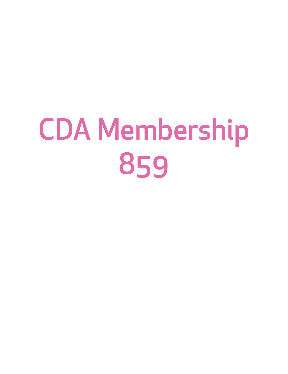# CDA Membership 859